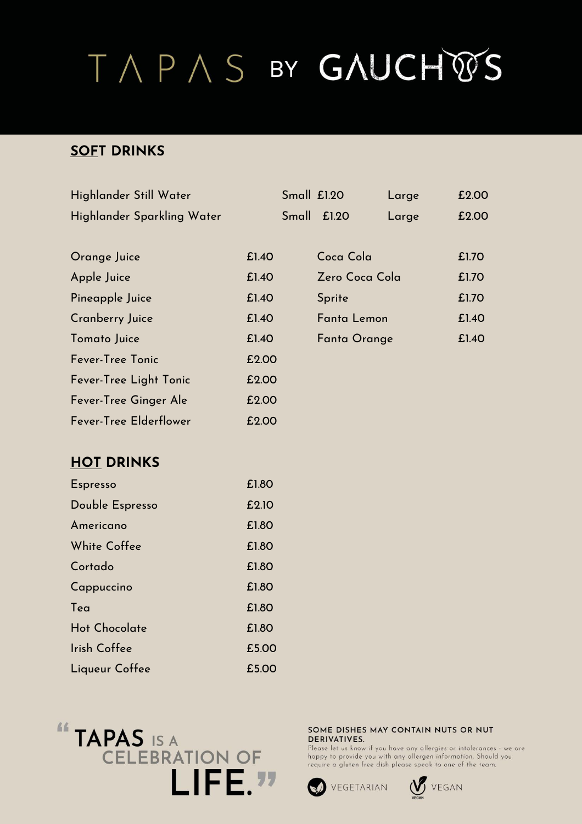### **SOFT DRINKS**

| Highlander Still Water     |       | Small £1.20 |                | Large | £2.00 |
|----------------------------|-------|-------------|----------------|-------|-------|
| Highlander Sparkling Water |       |             | Small £1.20    | Large | £2.00 |
|                            |       |             |                |       |       |
| Orange Juice               | £1.40 |             | Coca Cola      |       | £1.70 |
| Apple Juice                | £1.40 |             | Zero Coca Cola |       | £1.70 |
| Pineapple Juice            | £1.40 |             | Sprite         |       | £1.70 |
| <b>Cranberry Juice</b>     | £1.40 |             | Fanta Lemon    |       | £1.40 |
| Tomato Juice               | £1.40 |             | Fanta Orange   |       | £1.40 |
| Fever-Tree Tonic           | £2.00 |             |                |       |       |
| Fever-Tree Light Tonic     | £2.00 |             |                |       |       |
| Fever-Tree Ginger Ale      | £2.00 |             |                |       |       |
| Fever-Tree Elderflower     | £2.00 |             |                |       |       |

#### **HOT DRINKS**

| <b>Espresso</b>      | £1.80 |
|----------------------|-------|
| Double Espresso      | £2.10 |
| Americano            | £1.80 |
| White Coffee         | £1.80 |
| Cortado              | £1.80 |
| Cappuccino           | £1.80 |
| Tea                  | £1.80 |
| <b>Hot Chocolate</b> | £1.80 |
| Irish Coffee         | £5.00 |
| Liqueur Coffee       | £5.00 |



#### SOME DISHES MAY CONTAIN NUTS OR NUT **DERIVATIVES.**



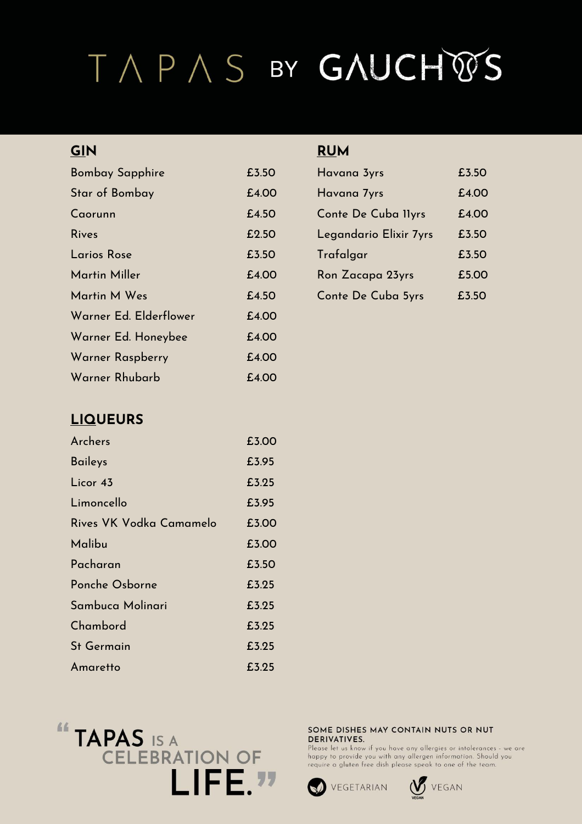| <b>Bombay Sapphire</b> | £3.50 | Havana 3yrs            | £3.50 |
|------------------------|-------|------------------------|-------|
| Star of Bombay         | £4.00 | Havana 7yrs            | £4.00 |
| Caorunn                | £4.50 | Conte De Cuba Ilyrs    | £4.00 |
| <b>Rives</b>           | £2.50 | Legandario Elixir 7yrs | £3.50 |
| <b>Larios Rose</b>     | £3.50 | Trafalgar              | £3.50 |
| <b>Martin Miller</b>   | £4.00 | Ron Zacapa 23yrs       | £5.00 |
| Martin M Wes           | £4.50 | Conte De Cuba 5yrs     | £3.50 |
| Warner Ed. Elderflower | £4.00 |                        |       |
| Warner Ed. Honeybee    | £4.00 |                        |       |
| Warner Raspberry       | £4.00 |                        |       |
| Warner Rhubarb         | £4.00 |                        |       |

### **LIQUEURS**

| Archers                 | £3.00 |
|-------------------------|-------|
| <b>Baileys</b>          | £3.95 |
| Licor 43                | £3.25 |
| Limoncello              | £3.95 |
| Rives VK Vodka Camamelo | £3.00 |
| Malibu                  | £3.00 |
| Pacharan                | £3.50 |
| Ponche Osborne          | £3.25 |
| Sambuca Molinari        | £3.25 |
| Chambord                | £3.25 |
| <b>St Germain</b>       | £3.25 |
| Amaretto                | £3.25 |



#### **GIN RUM**

| Havana 3yrs            | £3.50         |
|------------------------|---------------|
| Havana 7yrs            | f.4.00        |
| Conte De Cuba Ilyrs    | <b>£4.00</b>  |
| Legandario Elixir 7yrs | £3.50         |
| Trafalgar              | £3.50         |
| Ron Zacapa 23yrs       | <b>f.5.00</b> |
| Conte De Cuba 5yrs     | £3.50         |

#### SOME DISHES MAY CONTAIN NUTS OR NUT **DERIVATIVES.**



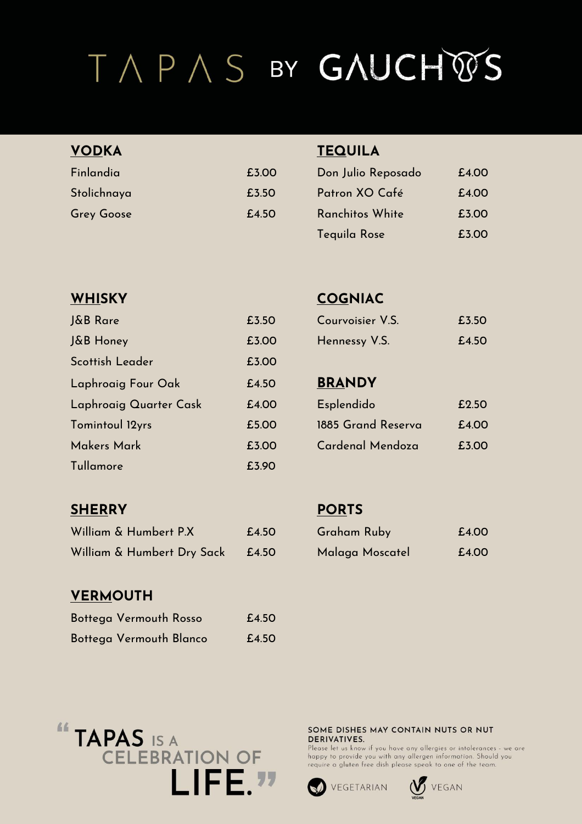| <b>VODKA</b>      |       | <b>TEQUILA</b>     |       |
|-------------------|-------|--------------------|-------|
| Finlandia         | £3.00 | Don Julio Reposado | £4.00 |
| Stolichnaya       | £3.50 | Patron XO Café     | £4.00 |
| <b>Grey Goose</b> | £4.50 | Ranchitos White    | £3.00 |

| J&B Rare               | £3.50 | Courvoisier V.S.   | £3.50 |
|------------------------|-------|--------------------|-------|
| J&B Honey              | £3.00 | Hennessy V.S.      | £4.50 |
| Scottish Leader        | £3.00 |                    |       |
| Laphroaig Four Oak     | £4.50 | <b>BRANDY</b>      |       |
| Laphroaig Quarter Cask | £4.00 | Esplendido         | £2.50 |
| Tomintoul 12yrs        | £5.00 | 1885 Grand Reserva | £4.00 |
| Makers Mark            | £3.00 | Cardenal Mendoza   | £3.00 |
| Tullamore              | £3.90 |                    |       |

### **WHISKY COGNIAC**

| Courvoisier V.S. | £3.50 |
|------------------|-------|
| Hennessy V.S.    | £4.50 |

Tequila Rose £3.00

### BRANDY

| Esplendido         | <b>F.9.50</b> |
|--------------------|---------------|
| 1885 Grand Reserva | f.4.00        |
| Cardenal Mendoza   | £3.00         |

### **SHERRY PORTS**

| William & Humbert P.X      | £4.50 | <b>Graham Ruby</b> | £4.00 |
|----------------------------|-------|--------------------|-------|
| William & Humbert Dry Sack | £4.50 | Malaga Moscatel    | £4.00 |

### **VERMOUTH**

| Bottega Vermouth Rosso  | £4.50 |
|-------------------------|-------|
| Bottega Vermouth Blanco | £4.50 |

| <b>Graham Ruby</b> | £4.00 |
|--------------------|-------|
| Malaga Moscatel    | £4.00 |



#### SOME DISHES MAY CONTAIN NUTS OR NUT **DERIVATIVES.**



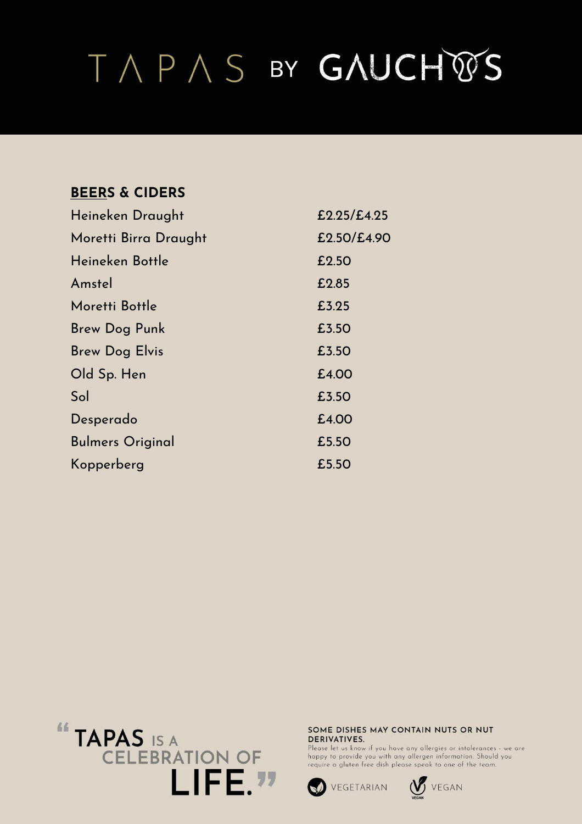### **BEERS & CIDERS**

| Heineken Draught        | E2.25/E4.25 |
|-------------------------|-------------|
| Moretti Birra Draught   | £2.50/£4.90 |
| Heineken Bottle         | £2.50       |
| Amstel                  | £2.85       |
| Moretti Bottle          | £3.25       |
| Brew Dog Punk           | £3.50       |
| <b>Brew Dog Elvis</b>   | £3.50       |
| Old Sp. Hen             | £4.00       |
| Sol                     | £3.50       |
| Desperado               | £4.00       |
| <b>Bulmers Original</b> | £5.50       |
| Kopperberg              | £5.50       |



#### SOME DISHES MAY CONTAIN NUTS OR NUT DERIVATIVES.



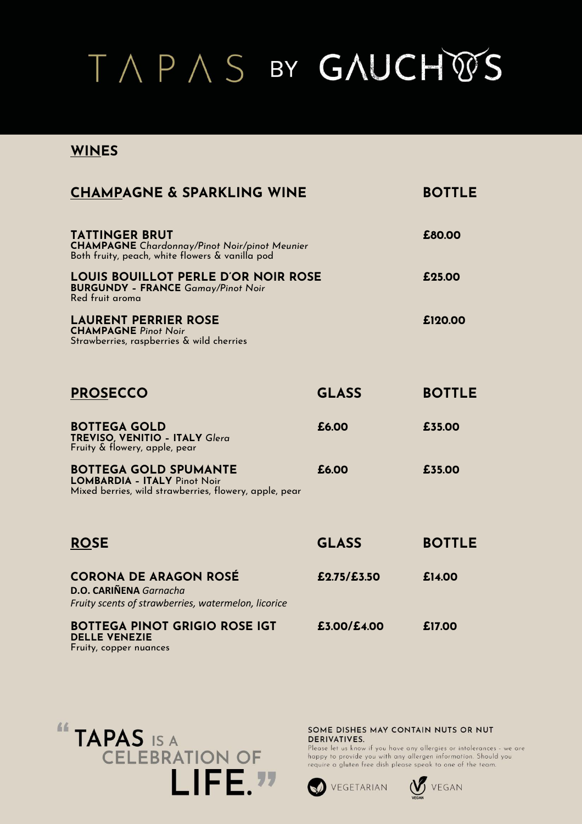### **WINES**

| <b>CHAMPAGNE &amp; SPARKLING WINE</b>                                                                                            |              | <b>BOTTLE</b> |  |
|----------------------------------------------------------------------------------------------------------------------------------|--------------|---------------|--|
| <b>TATTINGER BRUT</b><br><b>CHAMPAGNE</b> Chardonnay/Pinot Noir/pinot Meunier<br>Both fruity, peach, white flowers & vanilla pod |              | £80.00        |  |
| <b>LOUIS BOUILLOT PERLE D'OR NOIR ROSE</b><br><b>BURGUNDY - FRANCE Gamay/Pinot Noir</b><br>Red fruit aroma                       |              | £25.00        |  |
| <b>LAURENT PERRIER ROSE</b><br><b>CHAMPAGNE Pinot Noir</b><br>Strawberries, raspberries & wild cherries                          |              | £120.00       |  |
| <b>PROSECCO</b>                                                                                                                  | <b>GLASS</b> | <b>BOTTLE</b> |  |
| <b>BOTTEGA GOLD</b><br><b>TREVISO, VENITIO - ITALY Glera</b><br>Fruity & flowery, apple, pear                                    | £6.00        | £35.00        |  |
| <b>BOTTEGA GOLD SPUMANTE</b><br><b>LOMBARDIA - ITALY Pinot Noir</b><br>Mixed berries, wild strawberries, flowery, apple, pear    | £6.00        | £35.00        |  |
| <b>ROSE</b>                                                                                                                      | <b>GLASS</b> | <b>BOTTLE</b> |  |
| <b>CORONA DE ARAGON ROSÉ</b><br><b>D.O. CARIÑENA</b> Garnacha<br>Fruity scents of strawberries, watermelon, licorice             | £2.75/£3.50  | £14.00        |  |
| <b>BOTTEGA PINOT GRIGIO ROSE IGT</b><br><b>DELLE VENEZIE</b><br>Fruity, copper nuances                                           | £3.00/£4.00  | £17.00        |  |



SOME DISHES MAY CONTAIN NUTS OR NUT **DERIVATIVES.** 

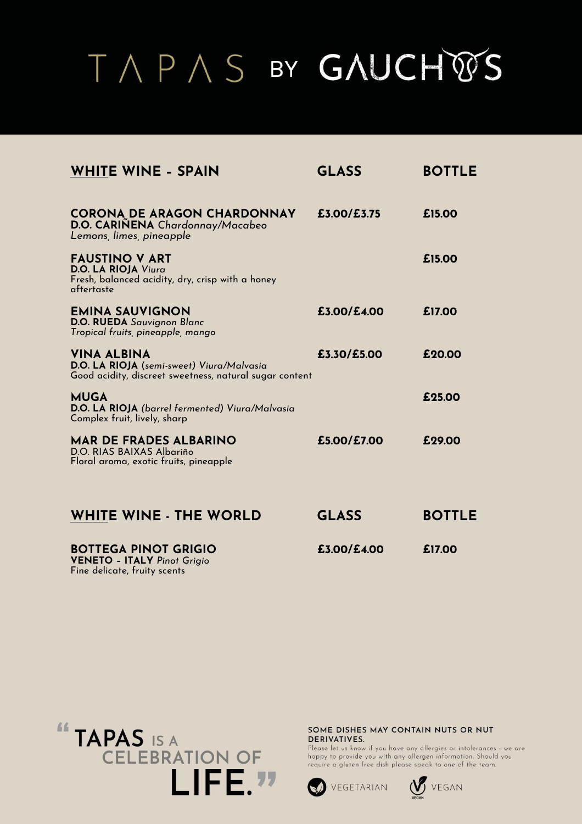| <b>WHITE WINE - SPAIN</b>                                                                                                  | <b>GLASS</b> | <b>BOTTLE</b> |
|----------------------------------------------------------------------------------------------------------------------------|--------------|---------------|
| <b>CORONA DE ARAGON CHARDONNAY</b><br>D.O. CARINENA Chardonnay/Macabeo<br>Lemons, limes, pineapple                         | £3.00/£3.75  | £15.00        |
| <b>FAUSTINO V ART</b><br>D.O. LA RIOJA Viura<br>Fresh, balanced acidity, dry, crisp with a honey<br>aftertaste             |              | £15.00        |
| <b>EMINA SAUVIGNON</b><br>D.O. RUEDA Sauvignon Blanc<br>Tropical fruits, pineapple, mango                                  | £3.00/£4.00  | £17.00        |
| <b>VINA ALBINA</b><br>D.O. LA RIOJA (semi-sweet) Viura/Malvasia<br>Good acidity, discreet sweetness, natural sugar content | £3.30/£5.00  | £20.00        |
| <b>MUGA</b><br>D.O. LA RIOJA (barrel fermented) Viura/Malvasia<br>Complex fruit, lively, sharp                             |              | £25.00        |
| <b>MAR DE FRADES ALBARINO</b><br>D.O. RIAS BAIXAS Albariño<br>Floral aroma, exotic fruits, pineapple                       | £5.00/£7.00  | £29.00        |
| <b>WHITE WINE - THE WORLD</b>                                                                                              | <b>GLASS</b> | <b>BOTTLE</b> |
| <b>BOTTEGA PINOT GRIGIO</b><br>$VENFTA - ITAI V Pinot Griaio$                                                              | £3.00/£4.00  | £17.00        |





SOME DISHES MAY CONTAIN NUTS OR NUT **DERIVATIVES.** 



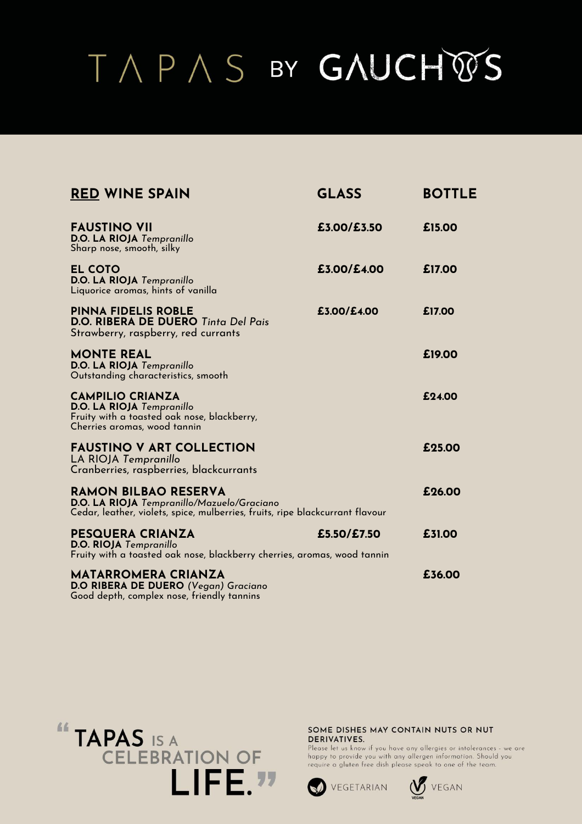| <b>RED WINE SPAIN</b>                                                                                                                                      | <b>GLASS</b> | <b>BOTTLE</b> |
|------------------------------------------------------------------------------------------------------------------------------------------------------------|--------------|---------------|
| <b>FAUSTINO VII</b><br>D.O. LA RIOJA Tempranillo<br>Sharp nose, smooth, silky                                                                              | £3.00/£3.50  | £15.00        |
| <b>EL COTO</b><br>D.O. LA RIOJA Tempranillo<br>Liquorice aromas, hints of vanilla                                                                          | £3.00/£4.00  | £17.00        |
| <b>PINNA FIDELIS ROBLE</b><br>D.O. RIBERA DE DUERO Tinta Del Pais<br>Strawberry, raspberry, red currants                                                   | £3.00/£4.00  | £17.00        |
| <b>MONTE REAL</b><br>D.O. LA RIOJA Tempranillo<br>Outstanding characteristics, smooth                                                                      |              | £19.00        |
| <b>CAMPILIO CRIANZA</b><br>D.O. LA RIOJA Tempranillo<br>Fruity with a toasted oak nose, blackberry,<br>Cherries aromas, wood tannin                        |              | £24.00        |
| <b>FAUSTINO V ART COLLECTION</b><br>LA RIOJA Tempranillo<br>Cranberries, raspberries, blackcurrants                                                        |              | £25.00        |
| <b>RAMON BILBAO RESERVA</b><br>D.O. LA RIOJA Tempranillo/Mazuelo/Graciano<br>Cedar, leather, violets, spice, mulberries, fruits, ripe blackcurrant flavour |              | £26.00        |
| <b>PESQUERA CRIANZA</b><br><b>D.O. RIOJA</b> Tempranillo<br>Fruity with a toasted oak nose, blackberry cherries, aromas, wood tannin                       | £5.50/£7.50  | £31.00        |
| <b>MATARROMERA CRIANZA</b><br>D.O RIBERA DE DUERO (Vegan) Graciano<br>Good depth, complex nose, friendly tannins                                           |              | £36.00        |



SOME DISHES MAY CONTAIN NUTS OR NUT DERIVATIVES.